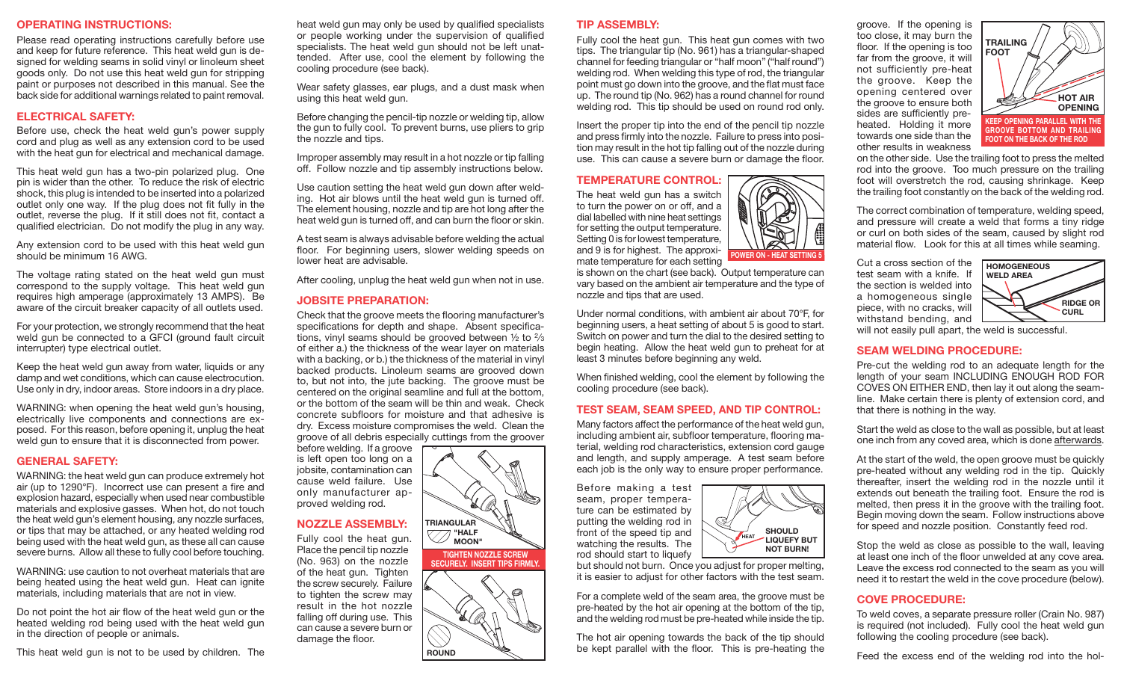#### **OPERATING INSTRUCTIONS:**

Please read operating instructions carefully before use and keep for future reference. This heat weld gun is designed for welding seams in solid vinyl or linoleum sheet goods only. Do not use this heat weld gun for stripping paint or purposes not described in this manual. See the back side for additional warnings related to paint removal.

## **ELECTRICAL SAFETY:**

Before use, check the heat weld gun's power supply cord and plug as well as any extension cord to be used with the heat gun for electrical and mechanical damage.

This heat weld gun has a two-pin polarized plug. One pin is wider than the other. To reduce the risk of electric shock, this plug is intended to be inserted into a polarized outlet only one way. If the plug does not fit fully in the outlet, reverse the plug. If it still does not fit, contact a qualified electrician. Do not modify the plug in any way.

Any extension cord to be used with this heat weld gun should be minimum 16 AWG.

The voltage rating stated on the heat weld gun must correspond to the supply voltage. This heat weld gun requires high amperage (approximately 13 AMPS). Be aware of the circuit breaker capacity of all outlets used.

For your protection, we strongly recommend that the heat weld gun be connected to a GFCI (ground fault circuit interrupter) type electrical outlet.

Keep the heat weld gun away from water, liquids or any damp and wet conditions, which can cause electrocution. Use only in dry, indoor areas. Store indoors in a dry place.

WARNING: when opening the heat weld gun's housing, electrically live components and connections are exposed. For this reason, before opening it, unplug the heat weld gun to ensure that it is disconnected from power.

## **GENERAL SAFETY:**

WARNING: the heat weld gun can produce extremely hot air (up to 1290°F). Incorrect use can present a fire and explosion hazard, especially when used near combustible materials and explosive gasses. When hot, do not touch the heat weld gun's element housing, any nozzle surfaces, or tips that may be attached, or any heated welding rod being used with the heat weld gun, as these all can cause severe burns. Allow all these to fully cool before touching.

WARNING: use caution to not overheat materials that are being heated using the heat weld gun. Heat can ignite materials, including materials that are not in view.

Do not point the hot air flow of the heat weld gun or the heated welding rod being used with the heat weld gun in the direction of people or animals.

This heat weld gun is not to be used by children. The

heat weld gun may only be used by qualified specialists or people working under the supervision of qualified specialists. The heat weld gun should not be left unattended. After use, cool the element by following the cooling procedure (see back).

Wear safety glasses, ear plugs, and a dust mask when using this heat weld gun.

Before changing the pencil-tip nozzle or welding tip, allow the gun to fully cool. To prevent burns, use pliers to grip the nozzle and tips.

Improper assembly may result in a hot nozzle or tip falling off. Follow nozzle and tip assembly instructions below.

Use caution setting the heat weld gun down after welding. Hot air blows until the heat weld gun is turned off. The element housing, nozzle and tip are hot long after the heat weld gun is turned off, and can burn the floor or skin.

A test seam is always advisable before welding the actual floor. For beginning users, slower welding speeds on lower heat are advisable.

After cooling, unplug the heat weld gun when not in use.

#### **JOBSITE PREPARATION:**

Check that the groove meets the flooring manufacturer's specifications for depth and shape. Absent specifications, vinyl seams should be grooved between ½ to 2⁄3 of either a.) the thickness of the wear layer on materials with a backing, or b.) the thickness of the material in vinyl backed products. Linoleum seams are grooved down to, but not into, the jute backing. The groove must be centered on the original seamline and full at the bottom, or the bottom of the seam will be thin and weak. Check concrete subfloors for moisture and that adhesive is dry. Excess moisture compromises the weld. Clean the groove of all debris especially cuttings from the groover

before welding. If a groove is left open too long on a jobsite, contamination can cause weld failure. Use only manufacturer approved welding rod.

## **NOZZLE ASSEMBLY:**

Fully cool the heat gun. Place the pencil tip nozzle (No. 963) on the nozzle of the heat gun. Tighten the screw securely. Failure to tighten the screw may result in the hot nozzle falling off during use. This can cause a severe burn or damage the floor.

#### **TIP ASSEMBLY:**

Fully cool the heat gun. This heat gun comes with two tips. The triangular tip (No. 961) has a triangular-shaped channel for feeding triangular or "half moon" ("half round") welding rod. When welding this type of rod, the triangular point must go down into the groove, and the flat must face up. The round tip (No. 962) has a round channel for round welding rod. This tip should be used on round rod only.

Insert the proper tip into the end of the pencil tip nozzle and press firmly into the nozzle. Failure to press into position may result in the hot tip falling out of the nozzle during use. This can cause a severe burn or damage the floor.

#### **TEMPERATURE CONTROL:**

The heat weld gun has a switch to turn the power on or off, and a dial labelled with nine heat settings for setting the output temperature. Setting 0 is for lowest temperature, and 9 is for highest. The approximate temperature for each setting

is shown on the chart (see back). Output temperature can vary based on the ambient air temperature and the type of nozzle and tips that are used.

Under normal conditions, with ambient air about 70°F, for beginning users, a heat setting of about 5 is good to start. Switch on power and turn the dial to the desired setting to begin heating. Allow the heat weld gun to preheat for at least 3 minutes before beginning any weld.

When finished welding, cool the element by following the cooling procedure (see back).

## **TEST SEAM, SEAM SPEED, AND TIP CONTROL:**

Many factors affect the performance of the heat weld gun, including ambient air, subfloor temperature, flooring material, welding rod characteristics, extension cord gauge and length, and supply amperage. A test seam before each job is the only way to ensure proper performance.

Before making a test seam, proper temperature can be estimated by putting the welding rod in front of the speed tip and watching the results. The rod should start to liquefy

but should not burn. Once you adjust for proper melting, it is easier to adjust for other factors with the test seam.

**HEAT SHOULD** 

**POWER ON - HEAT SETTING 5**

**LIQUEFY BUT NOT BURN!**

For a complete weld of the seam area, the groove must be pre-heated by the hot air opening at the bottom of the tip, and the welding rod must be pre-heated while inside the tip.

The hot air opening towards the back of the tip should be kept parallel with the floor. This is pre-heating the

groove. If the opening is too close, it may burn the floor. If the opening is too far from the groove, it will not sufficiently pre-heat the groove. Keep the opening centered over the groove to ensure both sides are sufficiently preheated. Holding it more towards one side than the other results in weakness



on the other side. Use the trailing foot to press the melted rod into the groove. Too much pressure on the trailing foot will overstretch the rod, causing shrinkage. Keep the trailing foot constantly on the back of the welding rod.

The correct combination of temperature, welding speed, and pressure will create a weld that forms a tiny ridge or curl on both sides of the seam, caused by slight rod material flow. Look for this at all times while seaming.

Cut a cross section of the test seam with a knife. If the section is welded into a homogeneous single piece, with no cracks, will withstand bending, and



will not easily pull apart, the weld is successful.

## **SEAM WELDING PROCEDURE:**

Pre-cut the welding rod to an adequate length for the length of your seam INCLUDING ENOUGH ROD FOR COVES ON EITHER END, then lay it out along the seamline. Make certain there is plenty of extension cord, and that there is nothing in the way.

Start the weld as close to the wall as possible, but at least one inch from any coved area, which is done afterwards.

At the start of the weld, the open groove must be quickly pre-heated without any welding rod in the tip. Quickly thereafter, insert the welding rod in the nozzle until it extends out beneath the trailing foot. Ensure the rod is melted, then press it in the groove with the trailing foot. Begin moving down the seam. Follow instructions above for speed and nozzle position. Constantly feed rod.

Stop the weld as close as possible to the wall, leaving at least one inch of the floor unwelded at any cove area. Leave the excess rod connected to the seam as you will need it to restart the weld in the cove procedure (below).

## **COVE PROCEDURE:**

To weld coves, a separate pressure roller (Crain No. 987) is required (not included). Fully cool the heat weld gun following the cooling procedure (see back).

Feed the excess end of the welding rod into the hol-